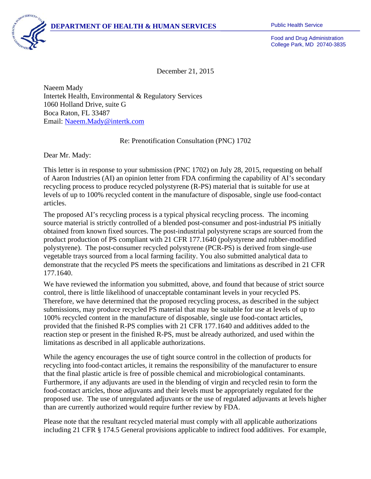

Food and Drug Administration College Park, MD 20740-3835

December 21, 2015

Naeem Mady Intertek Health, Environmental & Regulatory Services 1060 Holland Drive, suite G Boca Raton, FL 33487 Email: Naeem.Mady@intertk.com

Re: Prenotification Consultation (PNC) 1702

Dear Mr. Mady:

This letter is in response to your submission (PNC 1702) on July 28, 2015, requesting on behalf of Aaron Industries (AI) an opinion letter from FDA confirming the capability of AI's secondary recycling process to produce recycled polystyrene (R-PS) material that is suitable for use at levels of up to 100% recycled content in the manufacture of disposable, single use food-contact articles.

The proposed AI's recycling process is a typical physical recycling process. The incoming source material is strictly controlled of a blended post-consumer and post-industrial PS initially obtained from known fixed sources. The post-industrial polystyrene scraps are sourced from the product production of PS compliant with 21 CFR 177.1640 (polystyrene and rubber-modified polystyrene). The post-consumer recycled polystyrene (PCR-PS) is derived from single-use vegetable trays sourced from a local farming facility. You also submitted analytical data to demonstrate that the recycled PS meets the specifications and limitations as described in 21 CFR 177.1640.

We have reviewed the information you submitted, above, and found that because of strict source control, there is little likelihood of unacceptable contaminant levels in your recycled PS. Therefore, we have determined that the proposed recycling process, as described in the subject submissions, may produce recycled PS material that may be suitable for use at levels of up to 100% recycled content in the manufacture of disposable, single use food-contact articles, provided that the finished R-PS complies with 21 CFR 177.1640 and additives added to the reaction step or present in the finished R-PS, must be already authorized, and used within the limitations as described in all applicable authorizations.

While the agency encourages the use of tight source control in the collection of products for recycling into food-contact articles, it remains the responsibility of the manufacturer to ensure that the final plastic article is free of possible chemical and microbiological contaminants. Furthermore, if any adjuvants are used in the blending of virgin and recycled resin to form the food-contact articles, those adjuvants and their levels must be appropriately regulated for the proposed use. The use of unregulated adjuvants or the use of regulated adjuvants at levels higher than are currently authorized would require further review by FDA.

Please note that the resultant recycled material must comply with all applicable authorizations including 21 CFR § 174.5 General provisions applicable to indirect food additives. For example,